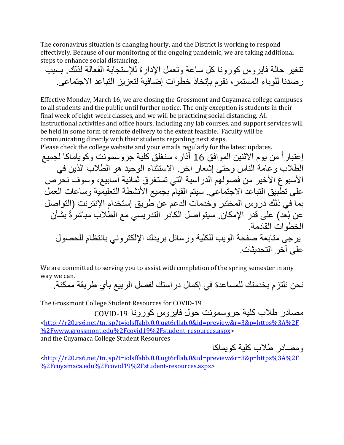The coronavirus situation is changing hourly, and the District is working to respond effectively. Because of our monitoring of the ongoing pandemic, we are taking additional steps to enhance social distancing.

تتغير حالة فايروس كورونا كل ساعة وتعمل اإلدارة لإلستجابة ال فعالة لذلك. بسبب رصدنا للوباء المستمر، نقوم بإتخاذ خطوات إضافية لتعزيز التباعد االجتماعي.

Effective Monday, March 16, we are closing the Grossmont and Cuyamaca college campuses to all students and the public until further notice. The only exception is students in their final week of eight-week classes, and we will be practicing social distancing. All instructional activities and office hours, including any lab courses, and support services will be held in some form of remote delivery to the extent feasible. Faculty will be communicating directly with their students regarding next steps.

Please check the college website and your emails regularly for the latest updates.

إ عتبارا من يوم االثنين الموافق 16 آذار، سنغلق كلية جروسمونت وكوياماكا لجميع الطالب وعامة الناس وحتى إشعار آخر. االستثناء الوحيد هو الطالب الذين في الأسبوع الأخير من فصولهم الدراسية التي تستغرق ثمانية أسابيع، وسوف نحرص على تطبيق التباعد الاجتماعي. سيتم القيام بجميع الأنشطة التعليمية وساعات العمل بما في ذلك دروس المختبر وخدمات الدعم عن طريق إستخدام اإلنترنت )التواصل عن بُعد) على قدر الإمكان. سيتواصل الكادر التدريسي مع الطلاب مباشرةً بشأن الخطوات القادمة. يرجى متابعة صفحة الويب للكلية ورسائل بريدك اإللكتروني بانتظام للحصول على آخر التحديثات.

We are committed to serving you to assist with completion of the spring semester in any way we can.

نحن نلتزم بخدمتك للمساعدة في إكمال دراستك لفصل الربيع بأي طريقة ممكنة.

The Grossmont College Student Resources for COVID-19

مصادر طالب كلية جروسمونت حول فايروس كورونا -19COVID [<http://r20.rs6.net/tn.jsp?t=iolsffabb.0.0.ugt6rllab.0&id=preview&r=3&p=https%3A%2F](http://r20.rs6.net/tn.jsp?t=iolsffabb.0.0.ugt6rllab.0&id=preview&r=3&p=https%3A%2F%2Fwww.grossmont.edu%2Fcovid19%2Fstudent-resources.aspx) [%2Fwww.grossmont.edu%2Fcovid19%2Fstudent-resources.aspx>](http://r20.rs6.net/tn.jsp?t=iolsffabb.0.0.ugt6rllab.0&id=preview&r=3&p=https%3A%2F%2Fwww.grossmont.edu%2Fcovid19%2Fstudent-resources.aspx) and the Cuyamaca College Student Resources

ومصادر طالب كلية كويماكا

[<http://r20.rs6.net/tn.jsp?t=iolsffabb.0.0.ugt6rllab.0&id=preview&r=3&p=https%3A%2F](http://r20.rs6.net/tn.jsp?t=iolsffabb.0.0.ugt6rllab.0&id=preview&r=3&p=https%3A%2F%2Fcuyamaca.edu%2Fcovid19%2Fstudent-resources.aspx) [%2Fcuyamaca.edu%2Fcovid19%2Fstudent-resources.aspx>](http://r20.rs6.net/tn.jsp?t=iolsffabb.0.0.ugt6rllab.0&id=preview&r=3&p=https%3A%2F%2Fcuyamaca.edu%2Fcovid19%2Fstudent-resources.aspx)